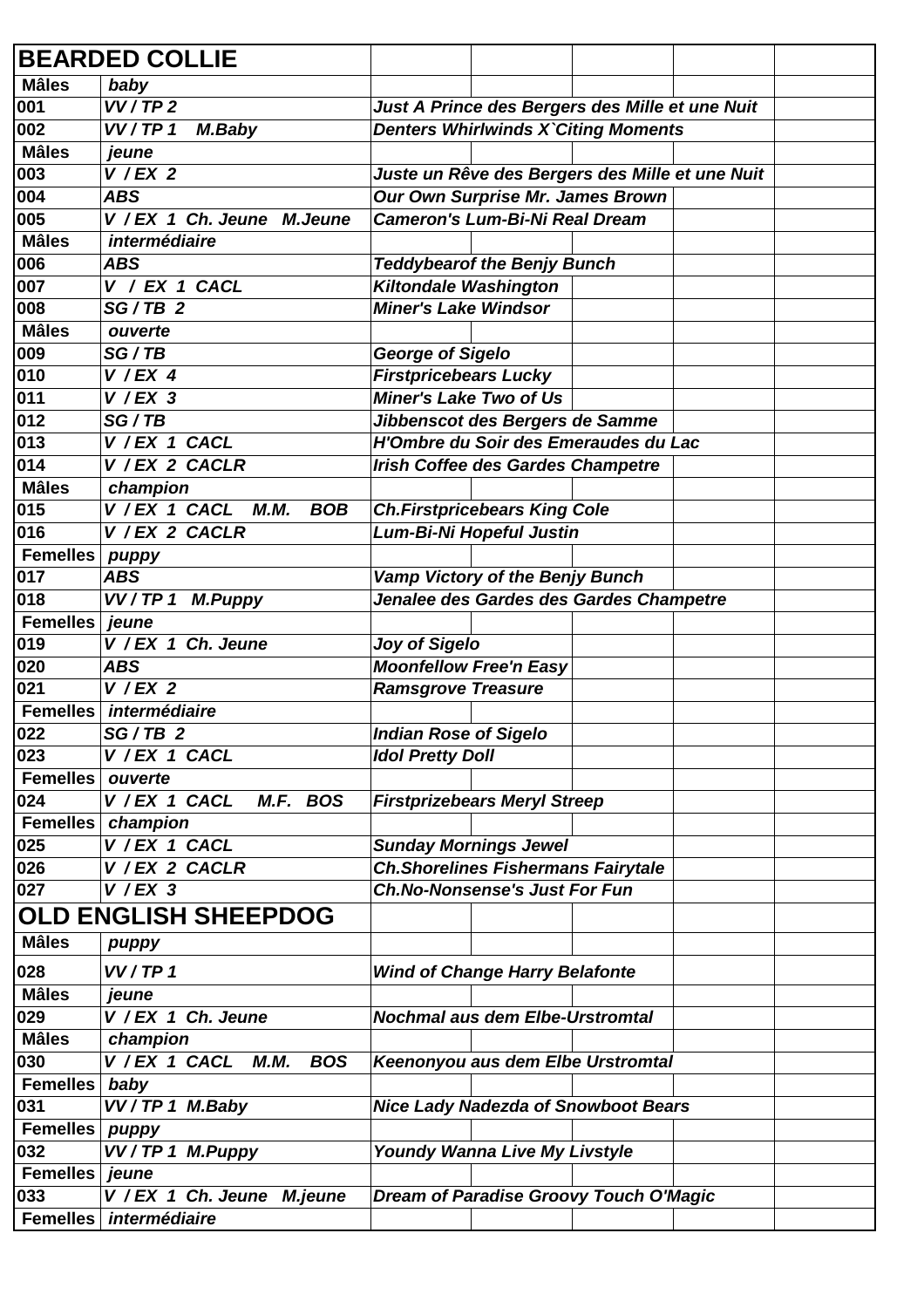|                   | <b>BEARDED COLLIE</b>                      |                                                 |  |
|-------------------|--------------------------------------------|-------------------------------------------------|--|
| <b>Mâles</b>      | baby                                       |                                                 |  |
| 001               | VV/TP2                                     | Just A Prince des Bergers des Mille et une Nuit |  |
| 002               | VV/TP 1<br>M.Baby                          | <b>Denters Whirlwinds X`Citing Moments</b>      |  |
| <b>Mâles</b>      | jeune                                      |                                                 |  |
| 003               | $V$ / EX 2                                 | Juste un Rêve des Bergers des Mille et une Nuit |  |
| 004               | <b>ABS</b>                                 | Our Own Surprise Mr. James Brown                |  |
| 005               | V / EX 1 Ch. Jeune M. Jeune                | <b>Cameron's Lum-Bi-Ni Real Dream</b>           |  |
| <b>Mâles</b>      | intermédiaire                              |                                                 |  |
| 006               | <b>ABS</b>                                 | <b>Teddybearof the Benjy Bunch</b>              |  |
| 007               | $V / EX 1$ CACL                            | <b>Kiltondale Washington</b>                    |  |
| 008               | $SG/TB$ 2                                  | <b>Miner's Lake Windsor</b>                     |  |
| <b>Mâles</b>      | ouverte                                    |                                                 |  |
| 009               | SG/TB                                      | <b>George of Sigelo</b>                         |  |
| 010               | $V$ / EX 4                                 | <b>Firstpricebears Lucky</b>                    |  |
| 011               | $V$ / EX 3                                 | <b>Miner's Lake Two of Us</b>                   |  |
| 012               | SG/TB                                      | Jibbenscot des Bergers de Samme                 |  |
| $\overline{0}$ 13 | V / EX 1 CACL                              | H'Ombre du Soir des Emeraudes du Lac            |  |
| 014               | V / EX 2 CACLR                             | <b>Irish Coffee des Gardes Champetre</b>        |  |
| <b>Mâles</b>      | champion                                   |                                                 |  |
| 015               | V / EX 1 CACL<br>М.М.<br><b>BOB</b>        | <b>Ch.Firstpricebears King Cole</b>             |  |
| 016               | V / EX 2 CACLR                             | Lum-Bi-Ni Hopeful Justin                        |  |
| <b>Femelles</b>   | puppy                                      |                                                 |  |
| 017               | <b>ABS</b>                                 | <b>Vamp Victory of the Benjy Bunch</b>          |  |
| 018               | VV/TP1 M.Puppy                             | Jenalee des Gardes des Gardes Champetre         |  |
| <b>Femelles</b>   | jeune                                      |                                                 |  |
| 019               | V / EX 1 Ch. Jeune                         | <b>Joy of Sigelo</b>                            |  |
| 020               | ABS                                        | <b>Moonfellow Free'n Easy</b>                   |  |
| 021               | $V$ / EX 2                                 | <b>Ramsgrove Treasure</b>                       |  |
| <b>Femelles</b>   | intermédiaire                              |                                                 |  |
| 022               | $SG/TB$ 2                                  | <b>Indian Rose of Sigelo</b>                    |  |
| $\overline{0}$ 23 | V / EX 1 CACL                              | <b>Idol Pretty Doll</b>                         |  |
| <b>Femelles</b>   | ouverte                                    |                                                 |  |
| 024               | M.F. BOS<br>V / EX 1 CACL                  | <b>Firstprizebears Meryl Streep</b>             |  |
| <b>Femelles</b>   | champion                                   |                                                 |  |
| 025               | V / EX 1 CACL                              | <b>Sunday Mornings Jewel</b>                    |  |
| 026               | V / EX 2 CACLR                             | <b>Ch.Shorelines Fishermans Fairytale</b>       |  |
| 027               | $V$ / EX 3                                 | <b>Ch.No-Nonsense's Just For Fun</b>            |  |
|                   | <b>OLD ENGLISH SHEEPDOG</b>                |                                                 |  |
| <b>Mâles</b>      | puppy                                      |                                                 |  |
| 028               | VV/TP 1                                    | <b>Wind of Change Harry Belafonte</b>           |  |
| <b>Mâles</b>      | jeune                                      |                                                 |  |
| 029               | V / EX 1 Ch. Jeune                         | <b>Nochmal aus dem Elbe-Urstromtal</b>          |  |
| <b>Mâles</b>      | champion                                   |                                                 |  |
| 030               | V / EX 1 CACL<br><b>M.M.</b><br><b>BOS</b> | Keenonyou aus dem Elbe Urstromtal               |  |
| <b>Femelles</b>   | baby                                       |                                                 |  |
| 031               | VV/TP1 M.Baby                              | <b>Nice Lady Nadezda of Snowboot Bears</b>      |  |
| <b>Femelles</b>   |                                            |                                                 |  |
| 032               | puppy<br>VV/TP 1 M.Puppy                   | Youndy Wanna Live My Livstyle                   |  |
| <b>Femelles</b>   | jeune                                      |                                                 |  |
| 033               | V / EX 1 Ch. Jeune M.jeune                 | Dream of Paradise Groovy Touch O'Magic          |  |
|                   |                                            |                                                 |  |
|                   | Femelles intermédiaire                     |                                                 |  |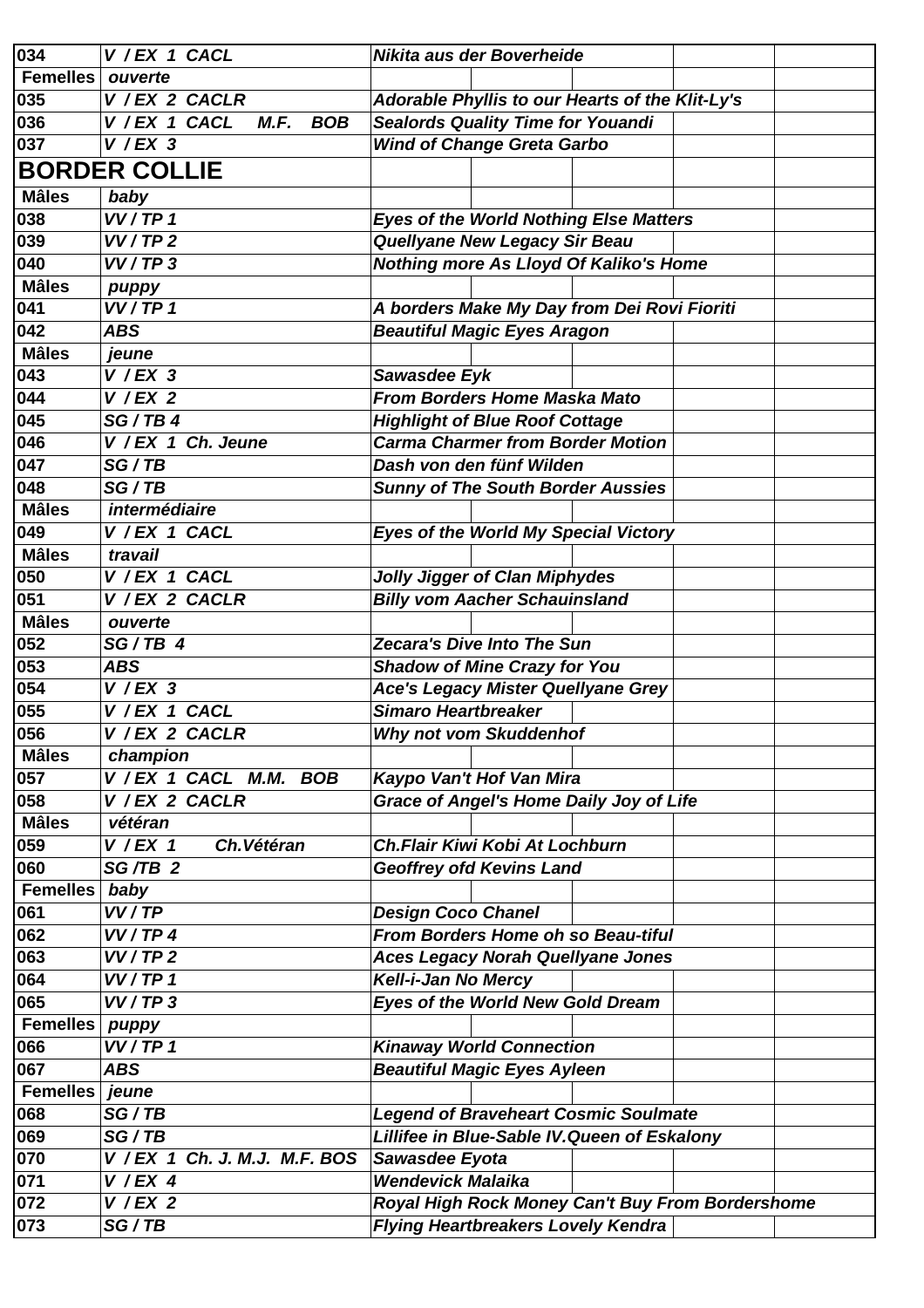| 034               | V / EX 1 CACL                       | Nikita aus der Boverheide                        |
|-------------------|-------------------------------------|--------------------------------------------------|
| <b>Femelles</b>   | ouverte                             |                                                  |
| 035               | V / EX 2 CACLR                      | Adorable Phyllis to our Hearts of the Klit-Ly's  |
| 036               | V / EX 1 CACL<br><b>BOB</b><br>M.F. | <b>Sealords Quality Time for Youandi</b>         |
| 037               | $V$ /EX 3                           | <b>Wind of Change Greta Garbo</b>                |
|                   | <b>BORDER COLLIE</b>                |                                                  |
| <b>Mâles</b>      |                                     |                                                  |
|                   | baby<br>VV/TP 1                     |                                                  |
| 038               |                                     | <b>Eyes of the World Nothing Else Matters</b>    |
| 039               | VV/TP2                              | <b>Quellyane New Legacy Sir Beau</b>             |
| 040               | VV/TP3                              | <b>Nothing more As Lloyd Of Kaliko's Home</b>    |
| <b>Mâles</b>      | puppy                               |                                                  |
| 041               | VV/TP 1                             | A borders Make My Day from Dei Rovi Fioriti      |
| 042               | <b>ABS</b>                          | <b>Beautiful Magic Eyes Aragon</b>               |
| <b>Mâles</b>      | jeune                               |                                                  |
| 043               | $V$ /EX 3                           | Sawasdee Eyk                                     |
| 044               | $V$ / EX 2                          | <b>From Borders Home Maska Mato</b>              |
| 045               | SG/TB4                              | <b>Highlight of Blue Roof Cottage</b>            |
| 046               | V / EX 1 Ch. Jeune                  | <b>Carma Charmer from Border Motion</b>          |
| 047               | SG/TB                               | Dash von den fünf Wilden                         |
| 048               | SG/TB                               | <b>Sunny of The South Border Aussies</b>         |
| <b>Mâles</b>      | intermédiaire                       |                                                  |
| 049               | V / EX 1 CACL                       | <b>Eyes of the World My Special Victory</b>      |
| <b>Mâles</b>      | travail                             |                                                  |
| 050               | V / EX 1 CACL                       | <b>Jolly Jigger of Clan Miphydes</b>             |
| 051               | V / EX 2 CACLR                      | <b>Billy vom Aacher Schauinsland</b>             |
| <b>Mâles</b>      | ouverte                             |                                                  |
| 052               | $SG/TB$ 4                           | <b>Zecara's Dive Into The Sun</b>                |
| 053               | <b>ABS</b>                          | <b>Shadow of Mine Crazy for You</b>              |
| 054               | $V$ / EX 3                          | <b>Ace's Legacy Mister Quellyane Grey</b>        |
| 055               | V / EX 1 CACL                       | <b>Simaro Heartbreaker</b>                       |
| 056               | V / EX 2 CACLR                      | Why not vom Skuddenhof                           |
| <b>Mâles</b>      | champion                            |                                                  |
| 057               | V / EX 1 CACL M.M.<br><b>BOB</b>    | Kaypo Van't Hof Van Mira                         |
| 058               | V / EX 2 CACLR                      | <b>Grace of Angel's Home Daily Joy of Life</b>   |
| <b>Mâles</b>      | vétéran                             |                                                  |
| 059               | Ch. Vétéran<br>$V$ / EX 1           | <b>Ch.Flair Kiwi Kobi At Lochburn</b>            |
| 060               | SG/TB <sub>2</sub>                  | <b>Geoffrey ofd Kevins Land</b>                  |
| <b>Femelles</b>   | baby                                |                                                  |
| 061               | VV/TP                               | <b>Design Coco Chanel</b>                        |
| 062               | VV/TP4                              | <b>From Borders Home oh so Beau-tiful</b>        |
| 063               | VV/TP2                              | <b>Aces Legacy Norah Quellyane Jones</b>         |
| 064               | VV/TP 1                             | Kell-i-Jan No Mercy                              |
| 065               | VV/TP3                              | Eyes of the World New Gold Dream                 |
| <b>Femelles</b>   | puppy                               |                                                  |
| 066               | VV/TP 1                             | <b>Kinaway World Connection</b>                  |
| 067               | ABS                                 | <b>Beautiful Magic Eyes Ayleen</b>               |
| <b>Femelles</b>   | jeune                               |                                                  |
| 068               | SG/TB                               | <b>Legend of Braveheart Cosmic Soulmate</b>      |
| 069               | SG/TB                               | Lillifee in Blue-Sable IV. Queen of Eskalony     |
| 070               | V / EX 1 Ch. J. M.J. M.F. BOS       | Sawasdee Eyota                                   |
| $\overline{0}$ 71 | $V$ / EX 4                          | <b>Wendevick Malaika</b>                         |
| 072               | $V$ / EX 2                          | Royal High Rock Money Can't Buy From Bordershome |
| 073               | SG/TB                               | <b>Flying Heartbreakers Lovely Kendra</b>        |
|                   |                                     |                                                  |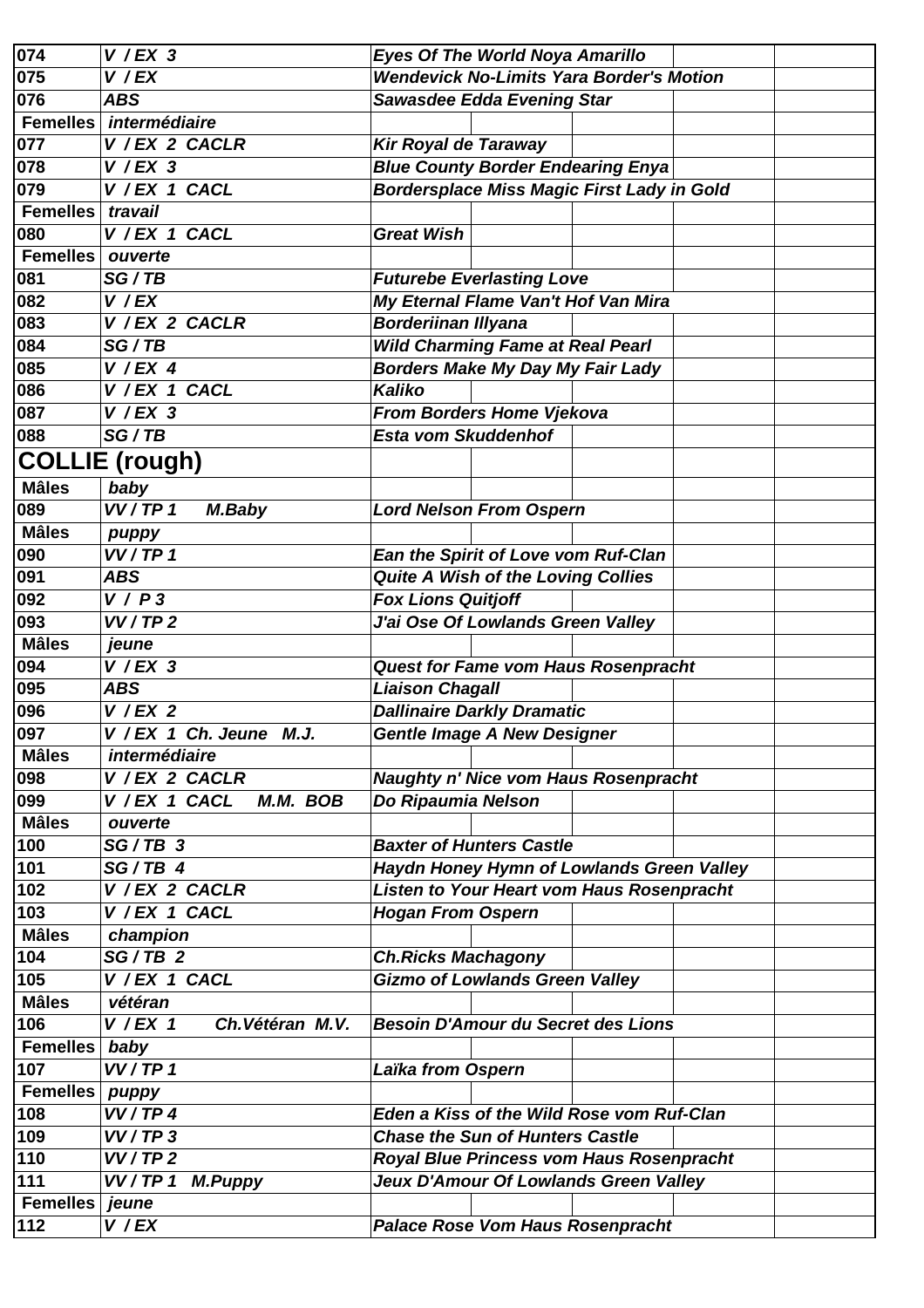| $\overline{0}$ 74 | $V$ / EX 3                     | <b>Eyes Of The World Noya Amarillo</b>            |
|-------------------|--------------------------------|---------------------------------------------------|
| 075               | V / EX                         | <b>Wendevick No-Limits Yara Border's Motion</b>   |
| 076               | <b>ABS</b>                     | <b>Sawasdee Edda Evening Star</b>                 |
| <b>Femelles</b>   | intermédiaire                  |                                                   |
| 077               | V / EX 2 CACLR                 | Kir Royal de Taraway                              |
| 078               | $V$ / EX 3                     | <b>Blue County Border Endearing Enya</b>          |
| 079               | V / EX 1 CACL                  | <b>Bordersplace Miss Magic First Lady in Gold</b> |
| <b>Femelles</b>   | travail                        |                                                   |
| 080               | V / EX 1 CACL                  | <b>Great Wish</b>                                 |
| <b>Femelles</b>   | ouverte                        |                                                   |
| 081               | SG/TB                          | <b>Futurebe Everlasting Love</b>                  |
| 082               | V / EX                         | My Eternal Flame Van't Hof Van Mira               |
| 083               | V / EX 2 CACLR                 | <b>Borderiinan Illyana</b>                        |
| 084               | SG/TB                          | <b>Wild Charming Fame at Real Pearl</b>           |
| 085               | $V$ / EX 4                     | <b>Borders Make My Day My Fair Lady</b>           |
| 086               | V / EX 1 CACL                  | Kaliko                                            |
| 087               | $V$ /EX 3                      | From Borders Home Vjekova                         |
| 088               | SG/TB                          | <b>Esta vom Skuddenhof</b>                        |
|                   |                                |                                                   |
|                   | <b>COLLIE (rough)</b>          |                                                   |
| <b>Mâles</b>      | baby                           |                                                   |
| 089               | VV/TP 1<br>M.Baby              | <b>Lord Nelson From Ospern</b>                    |
| <b>Mâles</b>      | puppy                          |                                                   |
| 090               | VV/TP 1                        | Ean the Spirit of Love vom Ruf-Clan               |
| 091               | <b>ABS</b>                     | <b>Quite A Wish of the Loving Collies</b>         |
| 092               | V/P3                           | <b>Fox Lions Quitjoff</b>                         |
| 093               | VV/TP2                         | J'ai Ose Of Lowlands Green Valley                 |
| <b>Mâles</b>      | jeune                          |                                                   |
| 094               | $V$ /EX 3                      | <b>Quest for Fame vom Haus Rosenpracht</b>        |
| 095               | <b>ABS</b>                     | <b>Liaison Chagall</b>                            |
| 096               | $V$ / EX 2                     | <b>Dallinaire Darkly Dramatic</b>                 |
| 097               | V / EX 1 Ch. Jeune M.J.        | Gentle Image A New Designer                       |
| <b>Mâles</b>      | intermédiaire                  |                                                   |
| 098               | V / EX 2 CACLR                 | <b>Naughty n' Nice vom Haus Rosenpracht</b>       |
| 099               | V / EX 1 CACL<br>M.M. BOB      | Do Ripaumia Nelson                                |
| <b>Mâles</b>      | ouverte                        |                                                   |
| 100               | $SG/TB$ 3                      | <b>Baxter of Hunters Castle</b>                   |
| 101               | $SG/TB$ 4                      | Haydn Honey Hymn of Lowlands Green Valley         |
| 102               | V / EX 2 CACLR                 | Listen to Your Heart vom Haus Rosenpracht         |
| 103               | V / EX 1 CACL                  | <b>Hogan From Ospern</b>                          |
| <b>Mâles</b>      | champion                       |                                                   |
| 104               | $SG/TB$ 2                      | <b>Ch.Ricks Machagony</b>                         |
| 105               | V / EX 1 CACL                  | <b>Gizmo of Lowlands Green Valley</b>             |
| <b>Mâles</b>      | vétéran                        |                                                   |
| 106               | Ch. Vétéran M.V.<br>$V$ / EX 1 | <b>Besoin D'Amour du Secret des Lions</b>         |
| <b>Femelles</b>   |                                |                                                   |
| 107               | baby<br>VV/TP 1                |                                                   |
| <b>Femelles</b>   |                                | Laïka from Ospern                                 |
|                   | puppy                          |                                                   |
| 108               | VV/TP4                         | Eden a Kiss of the Wild Rose vom Ruf-Clan         |
| 109               | VV/TP3                         | <b>Chase the Sun of Hunters Castle</b>            |
| 110               | VV/TP2                         | Royal Blue Princess vom Haus Rosenpracht          |
| 111               | VV/TP 1<br><b>M.Puppy</b>      | Jeux D'Amour Of Lowlands Green Valley             |
| <b>Femelles</b>   | jeune                          |                                                   |
| 112               | V / EX                         | <b>Palace Rose Vom Haus Rosenpracht</b>           |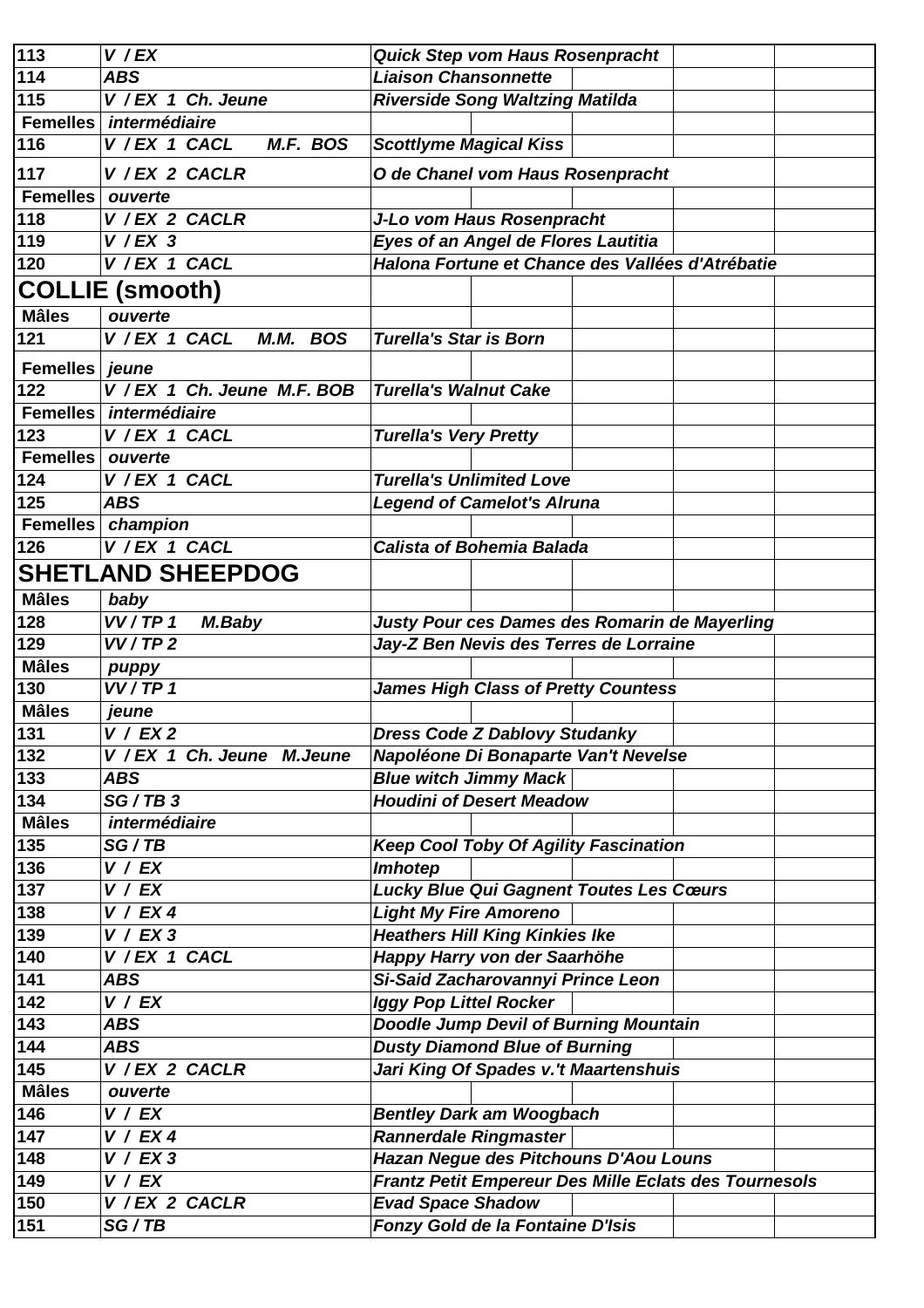| 113              | $V$ / $EX$                    | <b>Quick Step vom Haus Rosenpracht</b>                |
|------------------|-------------------------------|-------------------------------------------------------|
| $114$            | <b>ABS</b>                    | <b>Liaison Chansonnette</b>                           |
| 115              | V / EX 1 Ch. Jeune            | <b>Riverside Song Waltzing Matilda</b>                |
| <b>Femelles</b>  | intermédiaire                 |                                                       |
| 116              | V / EX 1 CACL<br>M.F. BOS     | <b>Scottlyme Magical Kiss</b>                         |
| 117              | V / EX 2 CACLR                | O de Chanel vom Haus Rosenpracht                      |
| <b>Femelles</b>  | ouverte                       |                                                       |
| 118              | V / EX 2 CACLR                | J-Lo vom Haus Rosenpracht                             |
| 119              | $V$ / EX 3                    | Eyes of an Angel de Flores Lautitia                   |
| 120              | V / EX 1 CACL                 | Halona Fortune et Chance des Vallées d'Atrébatie      |
|                  | <b>COLLIE (smooth)</b>        |                                                       |
| <b>Mâles</b>     | ouverte                       |                                                       |
| 121              | V / EX 1 CACL<br>M.M. BOS     | <b>Turella's Star is Born</b>                         |
|                  |                               |                                                       |
| <b>Femelles</b>  | jeune                         |                                                       |
| 122              | V / EX 1 Ch. Jeune M.F. BOB   | <b>Turella's Walnut Cake</b>                          |
|                  | Femelles <i>intermédiaire</i> |                                                       |
| 123              | V / EX 1 CACL                 | <b>Turella's Very Pretty</b>                          |
| <b>Femelles</b>  | ouverte                       |                                                       |
| 124              | V / EX 1 CACL                 | <b>Turella's Unlimited Love</b>                       |
| 125              | <b>ABS</b>                    | <b>Legend of Camelot's Alruna</b>                     |
| <b>Femelles</b>  | champion                      |                                                       |
| 126              | V / EX 1 CACL                 | <b>Calista of Bohemia Balada</b>                      |
|                  | <b>SHETLAND SHEEPDOG</b>      |                                                       |
| <b>Mâles</b>     | baby                          |                                                       |
| 128              | VV/TP 1<br>M.Baby             | Justy Pour ces Dames des Romarin de Mayerling         |
| 129              | VV/TP2                        | Jay-Z Ben Nevis des Terres de Lorraine                |
| <b>Mâles</b>     | puppy                         |                                                       |
| 130              | VV/TP 1                       | <b>James High Class of Pretty Countess</b>            |
| <b>Mâles</b>     | jeune                         |                                                       |
| 131              | V / EX2                       | <b>Dress Code Z Dablovy Studanky</b>                  |
| $\overline{1}32$ | V / EX 1 Ch. Jeune M. Jeune   | Napoléone Di Bonaparte Van't Nevelse                  |
| 133              | <b>ABS</b>                    | <b>Blue witch Jimmy Mack</b>                          |
| 134              | SG/TB3                        | <b>Houdini of Desert Meadow</b>                       |
| <b>Mâles</b>     | intermédiaire                 |                                                       |
| 135              | SG/TB                         | <b>Keep Cool Toby Of Agility Fascination</b>          |
| 136              | V / EX                        | Imhotep                                               |
| 137              | V / EX                        | <b>Lucky Blue Qui Gagnent Toutes Les Cœurs</b>        |
| 138              | V / EX4                       | <b>Light My Fire Amoreno</b>                          |
| 139              | V / EX3                       | <b>Heathers Hill King Kinkies Ike</b>                 |
| 140              | V / EX 1 CACL                 | Happy Harry von der Saarhöhe                          |
| 141              | <b>ABS</b>                    | Si-Said Zacharovannyi Prince Leon                     |
| $\sqrt{142}$     | V / EX                        | <b>Iggy Pop Littel Rocker</b>                         |
| 143              | ABS                           | <b>Doodle Jump Devil of Burning Mountain</b>          |
| 144              | <b>ABS</b>                    | <b>Dusty Diamond Blue of Burning</b>                  |
| 145              | V / EX 2 CACLR                | Jari King Of Spades v.'t Maartenshuis                 |
| <b>Mâles</b>     | ouverte                       |                                                       |
| 146              | V / EX                        | <b>Bentley Dark am Woogbach</b>                       |
| 147              | V / EX4                       | <b>Rannerdale Ringmaster</b>                          |
| 148              | V / EX3                       | Hazan Negue des Pitchouns D'Aou Louns                 |
| 149              | V / EX                        | Frantz Petit Empereur Des Mille Eclats des Tournesols |
| 150              | V / EX 2 CACLR                | <b>Evad Space Shadow</b>                              |
| 151              | SG/TB                         | Fonzy Gold de la Fontaine D'Isis                      |
|                  |                               |                                                       |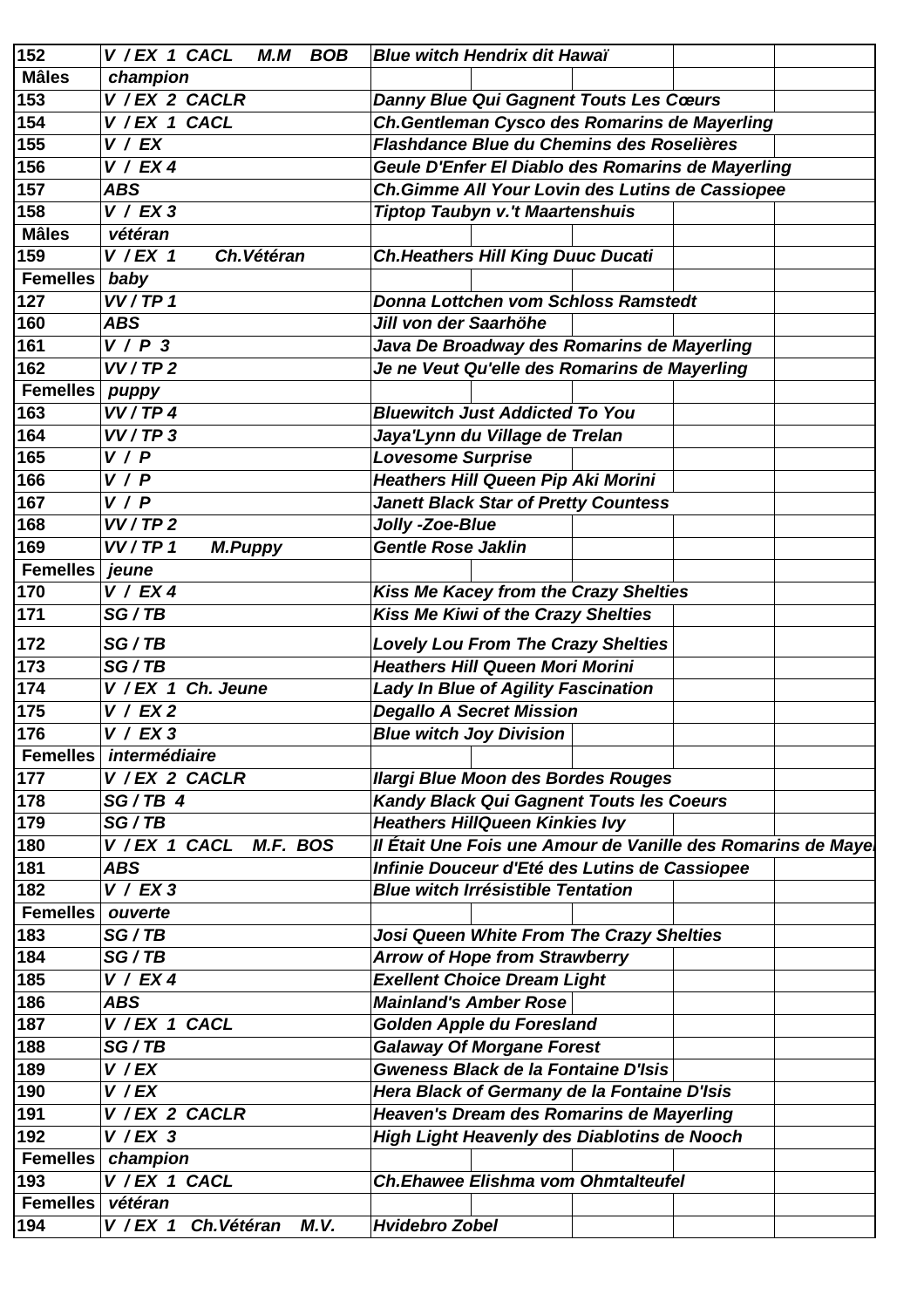| 152             | V / EX 1 CACL<br><b>BOB</b><br>M.M  | <b>Blue witch Hendrix dit Hawaï</b>                                           |
|-----------------|-------------------------------------|-------------------------------------------------------------------------------|
| <b>Mâles</b>    | champion                            |                                                                               |
| 153             | $\overline{V}$ / EX 2 CACLR         | <b>Danny Blue Qui Gagnent Touts Les Cœurs</b>                                 |
| 154             | V / EX 1 CACL                       | Ch.Gentleman Cysco des Romarins de Mayerling                                  |
| 155             | V / EX                              | Flashdance Blue du Chemins des Roselières                                     |
| 156             | V / EX4                             | Geule D'Enfer El Diablo des Romarins de Mayerling                             |
| 157             | <b>ABS</b>                          | Ch.Gimme All Your Lovin des Lutins de Cassiopee                               |
| 158             | V / EX3                             | <b>Tiptop Taubyn v.'t Maartenshuis</b>                                        |
| <b>Mâles</b>    | vétéran                             |                                                                               |
| 159             | $V$ / EX 1<br>Ch. Vétéran           | <b>Ch. Heathers Hill King Duuc Ducati</b>                                     |
| <b>Femelles</b> | baby                                |                                                                               |
| 127             | VV/TP 1                             | <b>Donna Lottchen vom Schloss Ramstedt</b>                                    |
| 160             | <b>ABS</b>                          | Jill von der Saarhöhe                                                         |
| 161             | V/P3                                |                                                                               |
|                 |                                     | Java De Broadway des Romarins de Mayerling                                    |
| 162             | VV/TP2                              | Je ne Veut Qu'elle des Romarins de Mayerling                                  |
| <b>Femelles</b> | puppy                               |                                                                               |
| 163             | VV/TP4                              | <b>Bluewitch Just Addicted To You</b>                                         |
| 164             | VV/TP3                              | Jaya'Lynn du Village de Trelan                                                |
| 165             | V / P                               | <b>Lovesome Surprise</b>                                                      |
| 166             | V / P                               | <b>Heathers Hill Queen Pip Aki Morini</b>                                     |
| 167             | V / P                               | <b>Janett Black Star of Pretty Countess</b>                                   |
| 168             | VV/TP2                              | Jolly -Zoe-Blue                                                               |
| 169             | VV/TP 1<br><b>M.Puppy</b>           | <b>Gentle Rose Jaklin</b>                                                     |
| <b>Femelles</b> | jeune                               |                                                                               |
| 170             | V / EX4                             | Kiss Me Kacey from the Crazy Shelties                                         |
| 171             | SG/TB                               | Kiss Me Kiwi of the Crazy Shelties                                            |
| 172             | SG/TB                               | <b>Lovely Lou From The Crazy Shelties</b>                                     |
| 173             | SG/TB                               | <b>Heathers Hill Queen Mori Morini</b>                                        |
| 174             | V / EX 1 Ch. Jeune                  |                                                                               |
|                 | V / EX2                             | <b>Lady In Blue of Agility Fascination</b><br><b>Degallo A Secret Mission</b> |
| 175             |                                     |                                                                               |
| 176             | V / EX 3                            | <b>Blue witch Joy Division</b>                                                |
| <b>Femelles</b> | intermédiaire                       |                                                                               |
| 177             | V / EX 2 CACLR                      | <b>Ilargi Blue Moon des Bordes Rouges</b>                                     |
| 178             | $SG/TB$ 4                           | Kandy Black Qui Gagnent Touts les Coeurs                                      |
| 179             | SG/TB                               | <b>Heathers HillQueen Kinkies Ivy</b>                                         |
| 180             | V / EX 1 CACL<br>M.F. BOS           | Il Était Une Fois une Amour de Vanille des Romarins de Maye                   |
| 181             | <b>ABS</b>                          | Infinie Douceur d'Eté des Lutins de Cassiopee                                 |
| 182             | V / EX3                             | <b>Blue witch Irrésistible Tentation</b>                                      |
| <b>Femelles</b> | ouverte                             |                                                                               |
| 183             | SG/TB                               | Josi Queen White From The Crazy Shelties                                      |
| 184             | SG/TB                               | <b>Arrow of Hope from Strawberry</b>                                          |
| 185             | V / EX4                             | <b>Exellent Choice Dream Light</b>                                            |
| 186             | <b>ABS</b>                          | <b>Mainland's Amber Rose</b>                                                  |
| 187             | V / EX 1 CACL                       | Golden Apple du Foresland                                                     |
| 188             | SG/TB                               | <b>Galaway Of Morgane Forest</b>                                              |
| 189             | V / EX                              | <b>Gweness Black de la Fontaine D'Isis</b>                                    |
| 190             | V / EX                              | Hera Black of Germany de la Fontaine D'Isis                                   |
| 191             | V / EX 2 CACLR                      | Heaven's Dream des Romarins de Mayerling                                      |
| 192             | $V$ /EX 3                           | High Light Heavenly des Diablotins de Nooch                                   |
| <b>Femelles</b> | champion                            |                                                                               |
| 193             | V / EX 1 CACL                       | <b>Ch.Ehawee Elishma vom Ohmtalteufel</b>                                     |
| <b>Femelles</b> | vétéran                             |                                                                               |
|                 |                                     |                                                                               |
| 194             | V / EX 1 Ch. Vétéran<br><b>M.V.</b> | <b>Hvidebro Zobel</b>                                                         |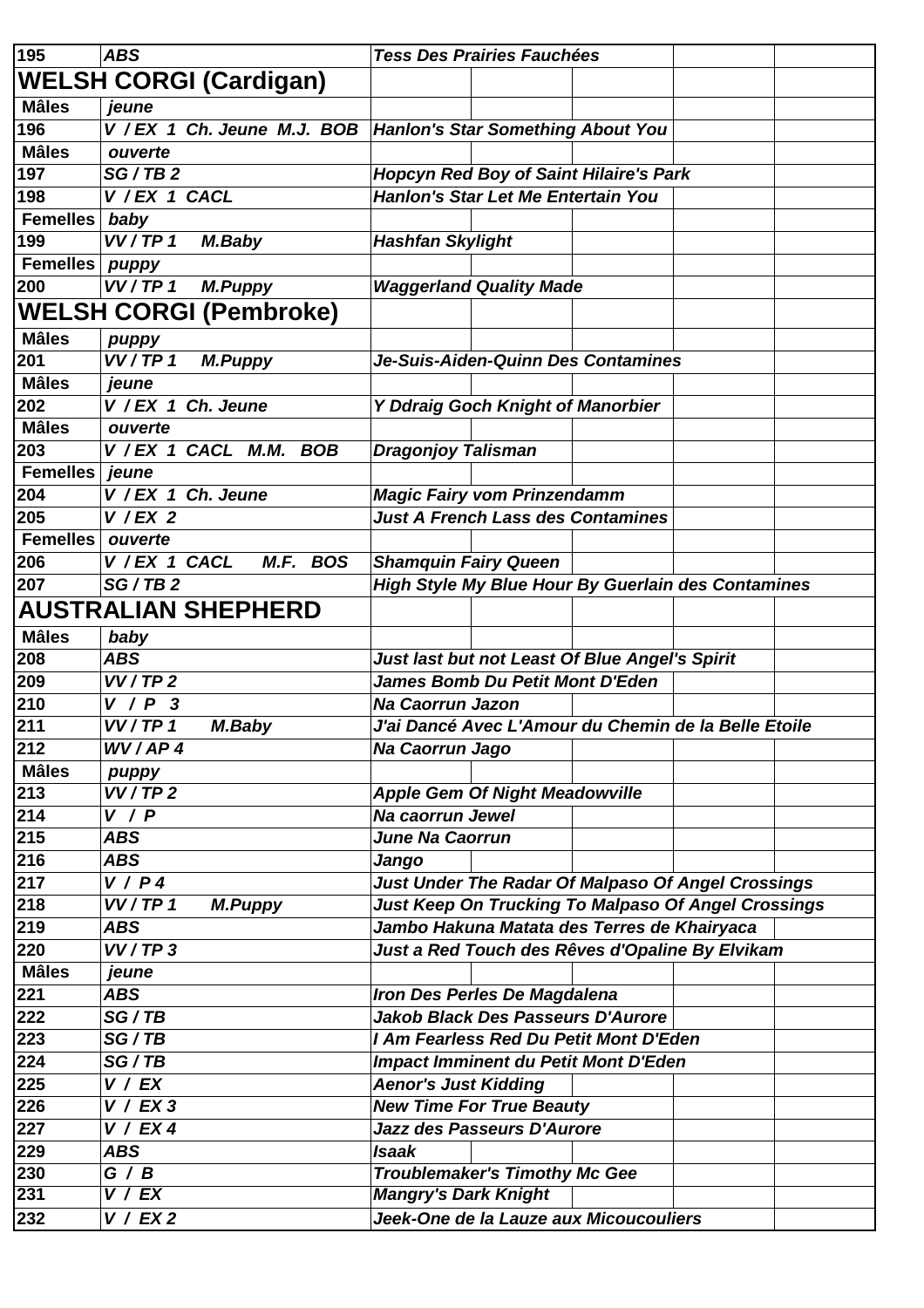| 195             | <b>ABS</b>                         | <b>Tess Des Prairies Fauchées</b>                               |
|-----------------|------------------------------------|-----------------------------------------------------------------|
|                 | <b>WELSH CORGI (Cardigan)</b>      |                                                                 |
| <b>Mâles</b>    | jeune                              |                                                                 |
| 196             |                                    | V / EX 1 Ch. Jeune M.J. BOB   Hanlon's Star Something About You |
| <b>Mâles</b>    | ouverte                            |                                                                 |
| 197             | SG/TB2                             | <b>Hopcyn Red Boy of Saint Hilaire's Park</b>                   |
| 198             | V / EX 1 CACL                      | Hanlon's Star Let Me Entertain You                              |
| <b>Femelles</b> | baby                               |                                                                 |
| 199             | VV/TP 1<br>M.Baby                  | <b>Hashfan Skylight</b>                                         |
| <b>Femelles</b> | puppy                              |                                                                 |
| 200             | VV/TP 1<br><b>M.Puppy</b>          | <b>Waggerland Quality Made</b>                                  |
|                 | <b>WELSH CORGI (Pembroke)</b>      |                                                                 |
| <b>Mâles</b>    | puppy                              |                                                                 |
| 201             | VV/TP 1<br><b>M.Puppy</b>          | Je-Suis-Aiden-Quinn Des Contamines                              |
| <b>Mâles</b>    | jeune                              |                                                                 |
| 202             | V / EX 1 Ch. Jeune                 | Y Ddraig Goch Knight of Manorbier                               |
| <b>Mâles</b>    | ouverte                            |                                                                 |
| 203             | V / EX 1 CACL M.M.<br><b>BOB</b>   | <b>Dragonjoy Talisman</b>                                       |
| <b>Femelles</b> | jeune                              |                                                                 |
| 204             | V / EX 1 Ch. Jeune                 | <b>Magic Fairy vom Prinzendamm</b>                              |
| 205             | $V$ / EX 2                         | <b>Just A French Lass des Contamines</b>                        |
| <b>Femelles</b> | ouverte                            |                                                                 |
|                 | V / EX 1 CACL<br>M.F. BOS          |                                                                 |
| 206             |                                    | <b>Shamquin Fairy Queen</b>                                     |
| 207             | SG/TB2                             | High Style My Blue Hour By Guerlain des Contamines              |
|                 | <b>AUSTRALIAN SHEPHERD</b>         |                                                                 |
| <b>Mâles</b>    | baby                               |                                                                 |
| 208             | <b>ABS</b>                         | Just last but not Least Of Blue Angel's Spirit                  |
| 209             | VV/TP2                             | <b>James Bomb Du Petit Mont D'Eden</b>                          |
| 210             | V / P<br>$\boldsymbol{\mathsf{3}}$ | <b>Na Caorrun Jazon</b>                                         |
| 211             | VV/TP 1<br>M.Baby                  | J'ai Dancé Avec L'Amour du Chemin de la Belle Etoile            |
| 212             | WV/AP4                             | Na Caorrun Jago                                                 |
| <b>Mâles</b>    | puppy                              |                                                                 |
| 213             | VV/TP2                             | <b>Apple Gem Of Night Meadowville</b>                           |
| 214             | V / P                              | Na caorrun Jewel                                                |
| 215             | <b>ABS</b>                         | June Na Caorrun                                                 |
| 216             | <b>ABS</b>                         | Jango                                                           |
| 217             | V/P4                               | <b>Just Under The Radar Of Malpaso Of Angel Crossings</b>       |
| 218             | VV/TP 1<br><b>M.Puppy</b>          | <b>Just Keep On Trucking To Malpaso Of Angel Crossings</b>      |
| 219             | <b>ABS</b>                         | Jambo Hakuna Matata des Terres de Khairyaca                     |
| 220             | VV/TP3                             | Just a Red Touch des Rêves d'Opaline By Elvikam                 |
| <b>Mâles</b>    | jeune                              |                                                                 |
| 221             | <b>ABS</b>                         | Iron Des Perles De Magdalena                                    |
| 222             | SG/TB                              | <b>Jakob Black Des Passeurs D'Aurore</b>                        |
| 223             | SG/TB                              | I Am Fearless Red Du Petit Mont D'Eden                          |
| 224             | SG/TB                              | Impact Imminent du Petit Mont D'Eden                            |
| 225             | V / EX                             | <b>Aenor's Just Kidding</b>                                     |
| 226             | V / EX3                            | <b>New Time For True Beauty</b>                                 |
| 227             | V / EX4                            | Jazz des Passeurs D'Aurore                                      |
|                 |                                    |                                                                 |
| 229             | <b>ABS</b>                         | <b>Isaak</b>                                                    |
| 230             | G / B<br>$\overline{V}$ / $EX$     | <b>Troublemaker's Timothy Mc Gee</b>                            |
| 231             |                                    | <b>Mangry's Dark Knight</b>                                     |
| 232             | V / EX2                            | Jeek-One de la Lauze aux Micoucouliers                          |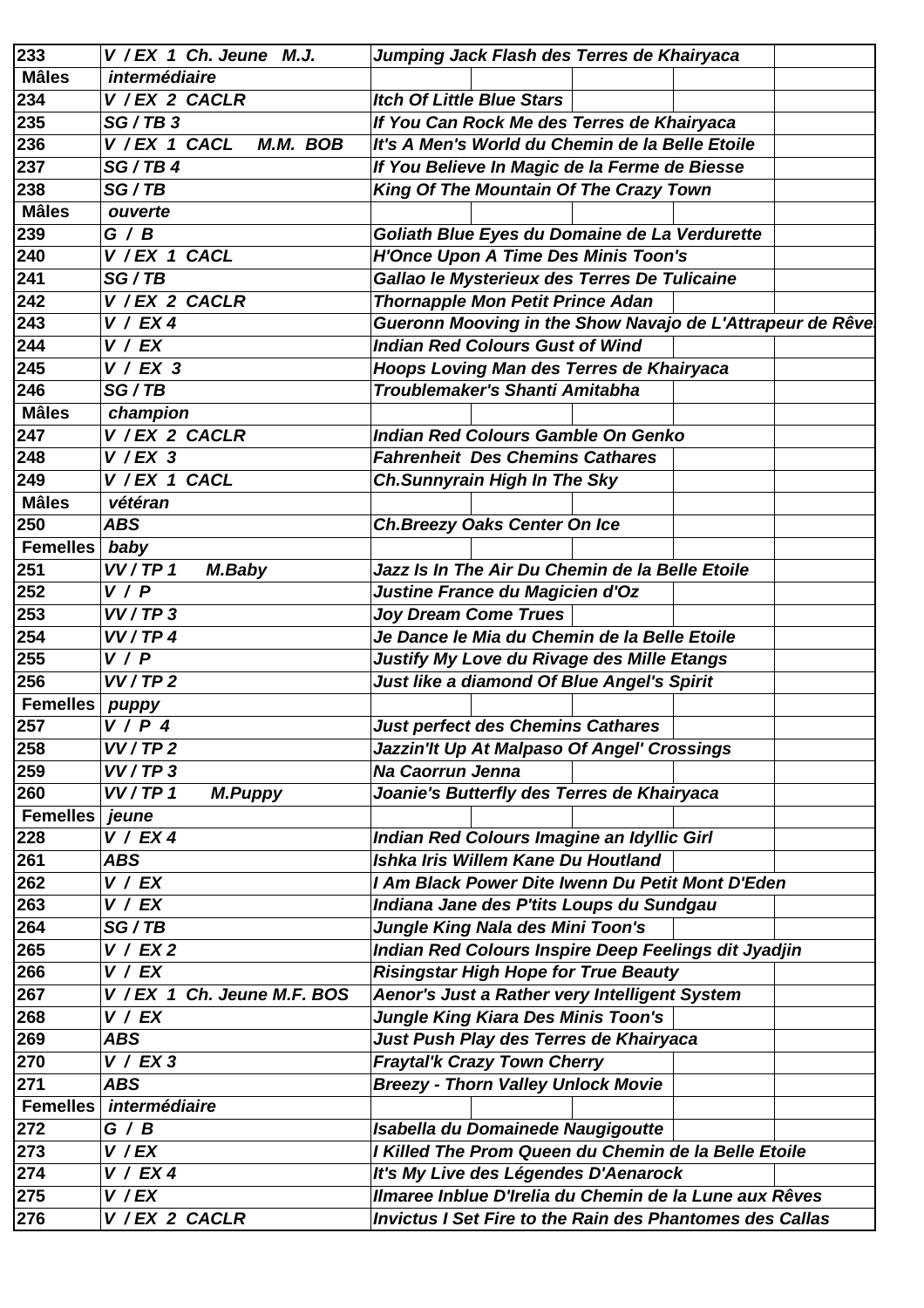| 233             | V / EX 1 Ch. Jeune M.J.     | Jumping Jack Flash des Terres de Khairyaca                      |
|-----------------|-----------------------------|-----------------------------------------------------------------|
| <b>Mâles</b>    | intermédiaire               |                                                                 |
| 234             | V / EX 2 CACLR              | <b>Itch Of Little Blue Stars</b>                                |
| 235             | SG / TB 3                   | If You Can Rock Me des Terres de Khairyaca                      |
| 236             | V / EX 1 CACL<br>M.M. BOB   | It's A Men's World du Chemin de la Belle Etoile                 |
| 237             | SG/TB4                      | If You Believe In Magic de la Ferme de Biesse                   |
| 238             | SG/TB                       | King Of The Mountain Of The Crazy Town                          |
| <b>Mâles</b>    | ouverte                     |                                                                 |
| 239             | G / B                       | Goliath Blue Eyes du Domaine de La Verdurette                   |
| 240             | V / EX 1 CACL               | <b>H'Once Upon A Time Des Minis Toon's</b>                      |
| 241             | SG/TB                       | Gallao le Mysterieux des Terres De Tulicaine                    |
| 242             | V / EX 2 CACLR              | <b>Thornapple Mon Petit Prince Adan</b>                         |
| 243             | V / EX4                     | Gueronn Mooving in the Show Navajo de L'Attrapeur de Rêve       |
| 244             | V / EX                      | <b>Indian Red Colours Gust of Wind</b>                          |
| 245             | $V / EX$ 3                  | Hoops Loving Man des Terres de Khairyaca                        |
| 246             | SG/TB                       | Troublemaker's Shanti Amitabha                                  |
| <b>Mâles</b>    | champion                    |                                                                 |
| 247             | $\overline{V}$ / EX 2 CACLR | <b>Indian Red Colours Gamble On Genko</b>                       |
| 248             | $V$ /EX 3                   | <b>Fahrenheit Des Chemins Cathares</b>                          |
| 249             | V / EX 1 CACL               | <b>Ch.Sunnyrain High In The Sky</b>                             |
| <b>Mâles</b>    | vétéran                     |                                                                 |
| 250             | <b>ABS</b>                  | Ch. Breezy Oaks Center On Ice                                   |
| <b>Femelles</b> | baby                        |                                                                 |
| 251             | VV/TP 1<br>M.Baby           | Jazz Is In The Air Du Chemin de la Belle Etoile                 |
| 252             | V / P                       | Justine France du Magicien d'Oz                                 |
| 253             | VV/TP3                      | <b>Joy Dream Come Trues</b>                                     |
| 254             | VV/TP4                      | Je Dance le Mia du Chemin de la Belle Etoile                    |
| 255             | V / P                       | Justify My Love du Rivage des Mille Etangs                      |
| 256             | VV/TP2                      | Just like a diamond Of Blue Angel's Spirit                      |
| <b>Femelles</b> | puppy                       |                                                                 |
| 257             | $V/P$ 4                     | <b>Just perfect des Chemins Cathares</b>                        |
| 258             | VV/TP2                      | Jazzin'lt Up At Malpaso Of Angel' Crossings                     |
| 259             | VV/TP3                      | Na Caorrun Jenna                                                |
| 260             | VV/TP 1<br><b>M.Puppy</b>   | Joanie's Butterfly des Terres de Khairyaca                      |
| <b>Femelles</b> | jeune                       |                                                                 |
| 228             | V / EX 4                    | Indian Red Colours Imagine an Idyllic Girl                      |
| 261             | <b>ABS</b>                  | Ishka Iris Willem Kane Du Houtland                              |
| 262             | V / EX                      | I Am Black Power Dite Iwenn Du Petit Mont D'Eden                |
| 263             | V / EX                      | Indiana Jane des P'tits Loups du Sundgau                        |
| 264             | SG/TB                       | Jungle King Nala des Mini Toon's                                |
| 265             | V / EX2                     | Indian Red Colours Inspire Deep Feelings dit Jyadjin            |
| 266             | V / EX                      | <b>Risingstar High Hope for True Beauty</b>                     |
| 267             | V / EX 1 Ch. Jeune M.F. BOS | Aenor's Just a Rather very Intelligent System                   |
| 268             | V / EX                      | <b>Jungle King Kiara Des Minis Toon's</b>                       |
| 269             | <b>ABS</b>                  | Just Push Play des Terres de Khairyaca                          |
| 270             | V / EX3                     | <b>Fraytal'k Crazy Town Cherry</b>                              |
| 271             | <b>ABS</b>                  | <b>Breezy - Thorn Valley Unlock Movie</b>                       |
| <b>Femelles</b> | intermédiaire               |                                                                 |
| 272             | G / B                       | Isabella du Domainede Naugigoutte                               |
| 273             | $V$ / $EX$                  | I Killed The Prom Queen du Chemin de la Belle Etoile            |
| 274             | V / EX4                     | It's My Live des Légendes D'Aenarock                            |
| 275             | $V$ / $EX$                  | Ilmaree Inblue D'Irelia du Chemin de la Lune aux Rêves          |
| 276             | V / EX 2 CACLR              | <b>Invictus I Set Fire to the Rain des Phantomes des Callas</b> |
|                 |                             |                                                                 |